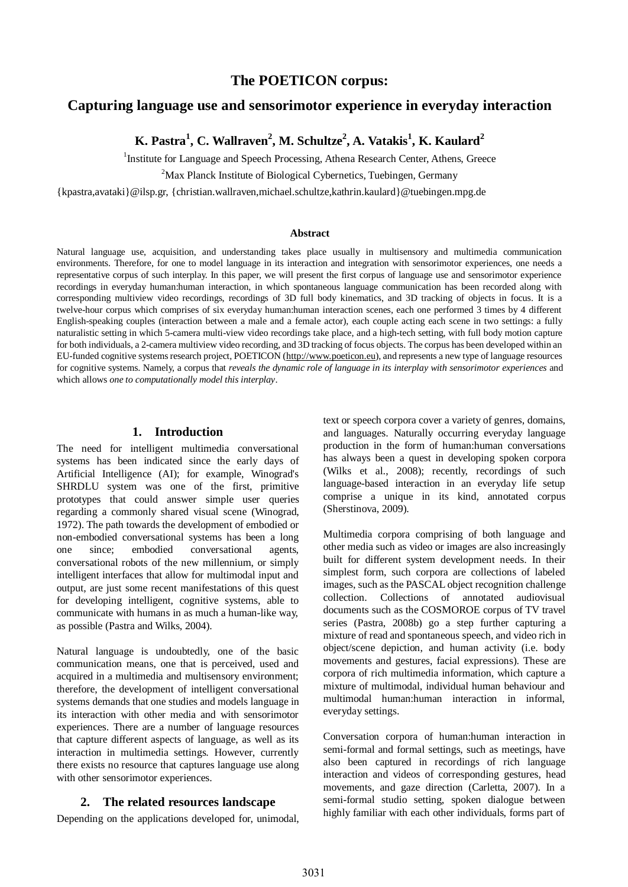# **The POETICON corpus:**

## **Capturing language use and sensorimotor experience in everyday interaction**

**K. Pastra<sup>1</sup> , C. Wallraven<sup>2</sup> , M. Schultze<sup>2</sup> , A. Vatakis<sup>1</sup> , K. Kaulard<sup>2</sup>**

<sup>1</sup>Institute for Language and Speech Processing, Athena Research Center, Athens, Greece

 $2^2$ Max Planck Institute of Biological Cybernetics, Tuebingen, Germany

{kpastra,avataki}@ilsp.gr, {christian.wallraven,michael.schultze,kathrin.kaulard}@tuebingen.mpg.de

#### **Abstract**

Natural language use, acquisition, and understanding takes place usually in multisensory and multimedia communication environments. Therefore, for one to model language in its interaction and integration with sensorimotor experiences, one needs a representative corpus of such interplay. In this paper, we will present the first corpus of language use and sensorimotor experience recordings in everyday human:human interaction, in which spontaneous language communication has been recorded along with corresponding multiview video recordings, recordings of 3D full body kinematics, and 3D tracking of objects in focus. It is a twelve-hour corpus which comprises of six everyday human:human interaction scenes, each one performed 3 times by 4 different English-speaking couples (interaction between a male and a female actor), each couple acting each scene in two settings: a fully naturalistic setting in which 5-camera multi-view video recordings take place, and a high-tech setting, with full body motion capture for both individuals, a 2-camera multiview video recording, and 3D tracking of focus objects. The corpus has been developed within an EU-funded cognitive systems research project, POETICON [\(http://www.poeticon.eu](http://www.poeticon.eu)), and represents a new type of language resources for cognitive systems. Namely, a corpus that *reveals the dynamic role of language in its interplay with sensorimotor experiences* and which allows *one to computationally model this interplay*.

### **1. Introduction**

The need for intelligent multimedia conversational systems has been indicated since the early days of Artificial Intelligence (AI); for example, Winograd's SHRDLU system was one of the first, primitive prototypes that could answer simple user queries regarding a commonly shared visual scene (Winograd, 1972). The path towards the development of embodied or non-embodied conversational systems has been a long one since; embodied conversational agents, conversational robots of the new millennium, or simply intelligent interfaces that allow for multimodal input and output, are just some recent manifestations of this quest for developing intelligent, cognitive systems, able to communicate with humans in as much a human-like way, as possible (Pastra and Wilks, 2004).

Natural language is undoubtedly, one of the basic communication means, one that is perceived, used and acquired in a multimedia and multisensory environment; therefore, the development of intelligent conversational systems demands that one studies and models language in its interaction with other media and with sensorimotor experiences. There are a number of language resources that capture different aspects of language, as well as its interaction in multimedia settings. However, currently there exists no resource that captures language use along with other sensorimotor experiences.

#### **2. The related resources landscape**

Depending on the applications developed for, unimodal,

text or speech corpora cover a variety of genres, domains, and languages. Naturally occurring everyday language production in the form of human:human conversations has always been a quest in developing spoken corpora (Wilks et al., 2008); recently, recordings of such language-based interaction in an everyday life setup comprise a unique in its kind, annotated corpus (Sherstinova, 2009).

Multimedia corpora comprising of both language and other media such as video or images are also increasingly built for different system development needs. In their simplest form, such corpora are collections of labeled images, such as the PASCAL object recognition challenge collection. Collections of annotated audiovisual documents such as the COSMOROE corpus of TV travel series (Pastra, 2008b) go a step further capturing a mixture of read and spontaneous speech, and video rich in object/scene depiction, and human activity (i.e. body movements and gestures, facial expressions). These are corpora of rich multimedia information, which capture a mixture of multimodal, individual human behaviour and multimodal human:human interaction in informal, everyday settings.

Conversation corpora of human:human interaction in semi-formal and formal settings, such as meetings, have also been captured in recordings of rich language interaction and videos of corresponding gestures, head movements, and gaze direction (Carletta, 2007). In a semi-formal studio setting, spoken dialogue between highly familiar with each other individuals, forms part of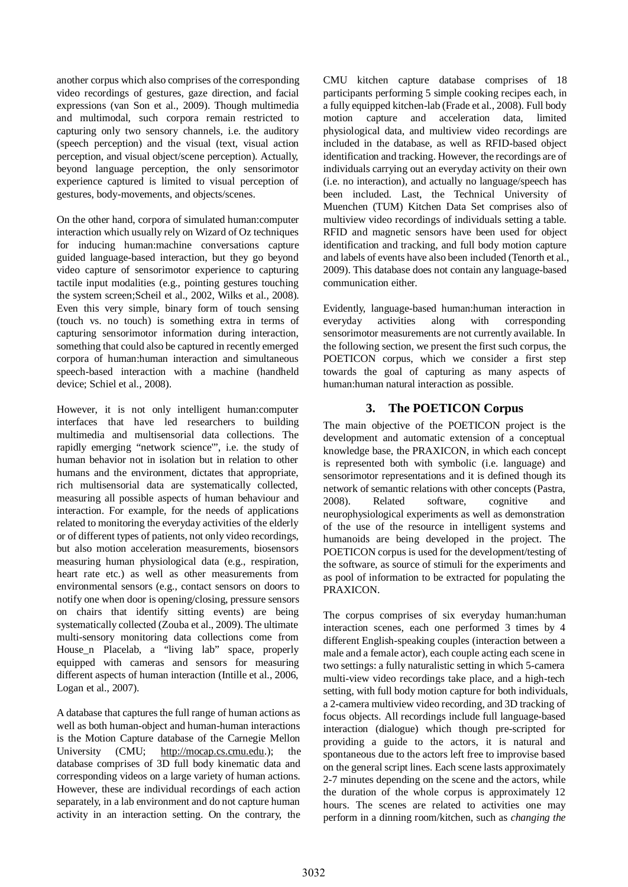another corpus which also comprises of the corresponding video recordings of gestures, gaze direction, and facial expressions (van Son et al., 2009). Though multimedia and multimodal, such corpora remain restricted to capturing only two sensory channels, i.e. the auditory (speech perception) and the visual (text, visual action perception, and visual object/scene perception). Actually, beyond language perception, the only sensorimotor experience captured is limited to visual perception of gestures, body-movements, and objects/scenes.

On the other hand, corpora of simulated human:computer interaction which usually rely on Wizard of Oz techniques for inducing human:machine conversations capture guided language-based interaction, but they go beyond video capture of sensorimotor experience to capturing tactile input modalities (e.g., pointing gestures touching the system screen;Scheil et al., 2002, Wilks et al., 2008). Even this very simple, binary form of touch sensing (touch vs. no touch) is something extra in terms of capturing sensorimotor information during interaction, something that could also be captured in recently emerged corpora of human:human interaction and simultaneous speech-based interaction with a machine (handheld device; Schiel et al., 2008).

However, it is not only intelligent human:computer interfaces that have led researchers to building multimedia and multisensorial data collections. The rapidly emerging "network science'", i.e. the study of human behavior not in isolation but in relation to other humans and the environment, dictates that appropriate, rich multisensorial data are systematically collected, measuring all possible aspects of human behaviour and interaction. For example, for the needs of applications related to monitoring the everyday activities of the elderly or of different types of patients, not only video recordings, but also motion acceleration measurements, biosensors measuring human physiological data (e.g., respiration, heart rate etc.) as well as other measurements from environmental sensors (e.g., contact sensors on doors to notify one when door is opening/closing, pressure sensors on chairs that identify sitting events) are being systematically collected (Zouba et al., 2009). The ultimate multi-sensory monitoring data collections come from House\_n Placelab, a "living lab" space, properly equipped with cameras and sensors for measuring different aspects of human interaction (Intille et al., 2006, Logan et al., 2007).

A database that captures the full range of human actions as well as both human-object and human-human interactions is the Motion Capture database of the Carnegie Mellon University (CMU; [http://mocap.cs.cmu.edu.](http://mocap.cs.cmu.edu)); the database comprises of 3D full body kinematic data and corresponding videos on a large variety of human actions. However, these are individual recordings of each action separately, in a lab environment and do not capture human activity in an interaction setting. On the contrary, the CMU kitchen capture database comprises of 18 participants performing 5 simple cooking recipes each, in a fully equipped kitchen-lab (Frade et al., 2008). Full body motion capture and acceleration data, limited physiological data, and multiview video recordings are included in the database, as well as RFID-based object identification and tracking. However, the recordings are of individuals carrying out an everyday activity on their own (i.e. no interaction), and actually no language/speech has been included. Last, the Technical University of Muenchen (TUM) Kitchen Data Set comprises also of multiview video recordings of individuals setting a table. RFID and magnetic sensors have been used for object identification and tracking, and full body motion capture and labels of events have also been included (Tenorth et al., 2009). This database does not contain any language-based communication either.

Evidently, language-based human:human interaction in everyday activities along with corresponding sensorimotor measurements are not currently available. In the following section, we present the first such corpus, the POETICON corpus, which we consider a first step towards the goal of capturing as many aspects of human:human natural interaction as possible.

### **3. The POETICON Corpus**

The main objective of the POETICON project is the development and automatic extension of a conceptual knowledge base, the PRAXICON, in which each concept is represented both with symbolic (i.e. language) and sensorimotor representations and it is defined though its network of semantic relations with other concepts (Pastra, 2008). Related software, cognitive and neurophysiological experiments as well as demonstration of the use of the resource in intelligent systems and humanoids are being developed in the project. The POETICON corpus is used for the development/testing of the software, as source of stimuli for the experiments and as pool of information to be extracted for populating the PRAXICON.

The corpus comprises of six everyday human:human interaction scenes, each one performed 3 times by 4 different English-speaking couples (interaction between a male and a female actor), each couple acting each scene in two settings: a fully naturalistic setting in which 5-camera multi-view video recordings take place, and a high-tech setting, with full body motion capture for both individuals, a 2-camera multiview video recording, and 3D tracking of focus objects. All recordings include full language-based interaction (dialogue) which though pre-scripted for providing a guide to the actors, it is natural and spontaneous due to the actors left free to improvise based on the general script lines. Each scene lasts approximately 2-7 minutes depending on the scene and the actors, while the duration of the whole corpus is approximately 12 hours. The scenes are related to activities one may perform in a dinning room/kitchen, such as *changing the*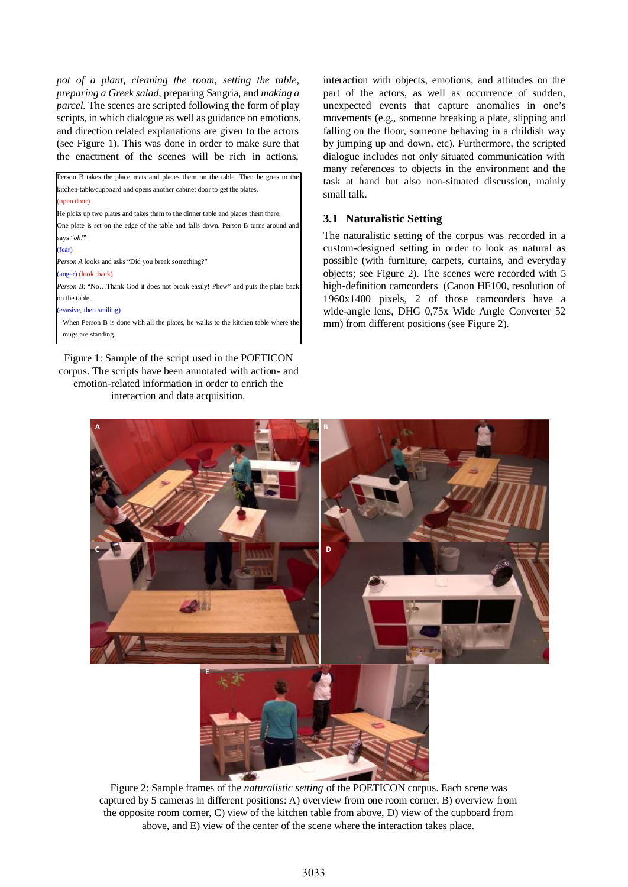*pot of a plant*, *cleaning the room*, *setting the table*, *preparing a Greek salad*, preparing Sangria, and *making a parcel.* The scenes are scripted following the form of play scripts, in which dialogue as well as guidance on emotions, and direction related explanations are given to the actors (see Figure 1). This was done in order to make sure that the enactment of the scenes will be rich in actions,

| Person B takes the place mats and places them on the table. Then he goes to the        |
|----------------------------------------------------------------------------------------|
| kitchen-table/cupboard and opens another cabinet door to get the plates.               |
| (open door)                                                                            |
| He picks up two plates and takes them to the dinner table and places them there.       |
| One plate is set on the edge of the table and falls down. Person B turns around and    |
| says "oh!"                                                                             |
| (fear)                                                                                 |
| <i>Person A</i> looks and asks "Did you break something?"                              |
| (anger) (look_back)                                                                    |
| <i>Person B</i> : "NoThank God it does not break easily! Phew" and puts the plate back |
| on the table.                                                                          |
| (evasive, then smiling)                                                                |
| When Person B is done with all the plates, he walks to the kitchen table where the     |
| mugs are standing.                                                                     |
|                                                                                        |

Figure 1: Sample of the script used in the POETICON corpus. The scripts have been annotated with action- and emotion-related information in order to enrich the interaction and data acquisition.

interaction with objects, emotions, and attitudes on the part of the actors, as well as occurrence of sudden, unexpected events that capture anomalies in one's movements (e.g., someone breaking a plate, slipping and falling on the floor, someone behaving in a childish way by jumping up and down, etc). Furthermore, the scripted dialogue includes not only situated communication with many references to objects in the environment and the task at hand but also non-situated discussion, mainly small talk.

#### **3.1 Naturalistic Setting**

The naturalistic setting of the corpus was recorded in a custom-designed setting in order to look as natural as possible (with furniture, carpets, curtains, and everyday objects; see Figure 2). The scenes were recorded with 5 high-definition camcorders (Canon HF100, resolution of 1960x1400 pixels, 2 of those camcorders have a wide-angle lens, DHG 0,75x Wide Angle Converter 52 mm) from different positions (see Figure 2).



Figure 2: Sample frames of the *naturalistic setting* of the POETICON corpus. Each scene was captured by 5 cameras in different positions: A) overview from one room corner, B) overview from the opposite room corner, C) view of the kitchen table from above, D) view of the cupboard from above, and E) view of the center of the scene where the interaction takes place.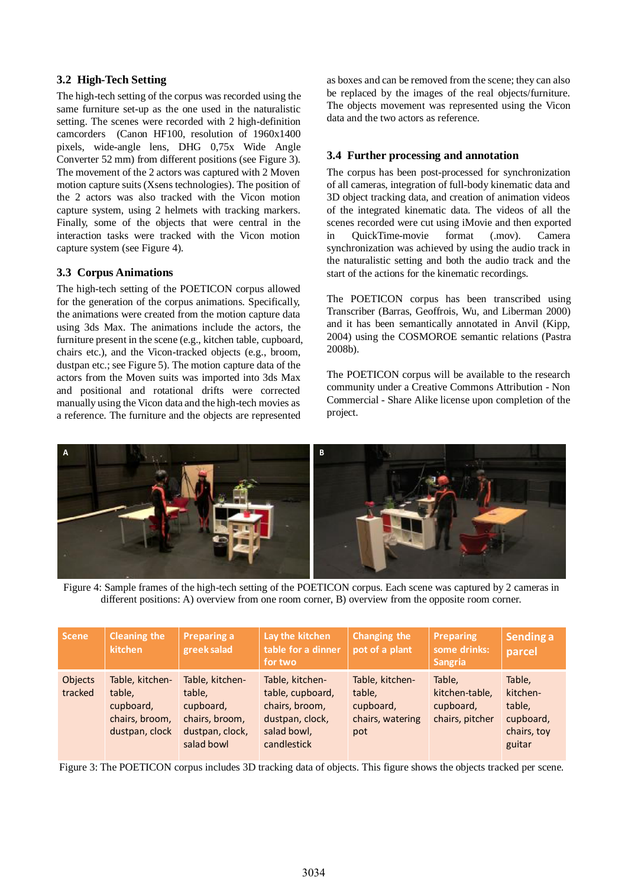### **3.2 High-Tech Setting**

The high-tech setting of the corpus was recorded using the same furniture set-up as the one used in the naturalistic setting. The scenes were recorded with 2 high-definition camcorders (Canon HF100, resolution of 1960x1400 pixels, wide-angle lens, DHG 0,75x Wide Angle Converter 52 mm) from different positions (see Figure 3). The movement of the 2 actors was captured with 2 Moven motion capture suits (Xsens technologies). The position of the 2 actors was also tracked with the Vicon motion capture system, using 2 helmets with tracking markers. Finally, some of the objects that were central in the interaction tasks were tracked with the Vicon motion capture system (see Figure 4).

### **3.3 Corpus Animations**

The high-tech setting of the POETICON corpus allowed for the generation of the corpus animations. Specifically, the animations were created from the motion capture data using 3ds Max. The animations include the actors, the furniture present in the scene (e.g., kitchen table, cupboard, chairs etc.), and the Vicon-tracked objects (e.g., broom, dustpan etc.; see Figure 5). The motion capture data of the actors from the Moven suits was imported into 3ds Max and positional and rotational drifts were corrected manually using the Vicon data and the high-tech movies as a reference. The furniture and the objects are represented

as boxes and can be removed from the scene; they can also be replaced by the images of the real objects/furniture. The objects movement was represented using the Vicon data and the two actors as reference.

## **3.4 Further processing and annotation**

The corpus has been post-processed for synchronization of all cameras, integration of full-body kinematic data and 3D object tracking data, and creation of animation videos of the integrated kinematic data. The videos of all the scenes recorded were cut using iMovie and then exported in QuickTime-movie format (.mov). Camera synchronization was achieved by using the audio track in the naturalistic setting and both the audio track and the start of the actions for the kinematic recordings.

The POETICON corpus has been transcribed using Transcriber (Barras, Geoffrois, Wu, and Liberman 2000) and it has been semantically annotated in Anvil (Kipp, 2004) using the COSMOROE semantic relations (Pastra 2008b).

The POETICON corpus will be available to the research community under a Creative Commons Attribution - Non Commercial - Share Alike license upon completion of the project.



Figure 4: Sample frames of the high-tech setting of the POETICON corpus. Each scene was captured by 2 cameras in different positions: A) overview from one room corner, B) overview from the opposite room corner.

| <b>Scene</b>       | <b>Cleaning the</b><br>kitchen                                             | <b>Preparing a</b><br>greek salad                                                         | Lay the kitchen<br>table for a dinner<br>for two                                                       | Changing the<br>pot of a plant                                    | Preparing<br>some drinks:<br><b>Sangria</b>              | Sending a<br>parcel                                                |
|--------------------|----------------------------------------------------------------------------|-------------------------------------------------------------------------------------------|--------------------------------------------------------------------------------------------------------|-------------------------------------------------------------------|----------------------------------------------------------|--------------------------------------------------------------------|
| Objects<br>tracked | Table, kitchen-<br>table.<br>cupboard,<br>chairs, broom,<br>dustpan, clock | Table, kitchen-<br>table,<br>cupboard,<br>chairs, broom,<br>dustpan, clock,<br>salad bowl | Table, kitchen-<br>table, cupboard,<br>chairs, broom,<br>dustpan, clock,<br>salad bowl,<br>candlestick | Table, kitchen-<br>table.<br>cupboard,<br>chairs, watering<br>pot | Table.<br>kitchen-table,<br>cupboard,<br>chairs, pitcher | Table,<br>kitchen-<br>table,<br>cupboard,<br>chairs, toy<br>guitar |

Figure 3: The POETICON corpus includes 3D tracking data of objects. This figure shows the objects tracked per scene.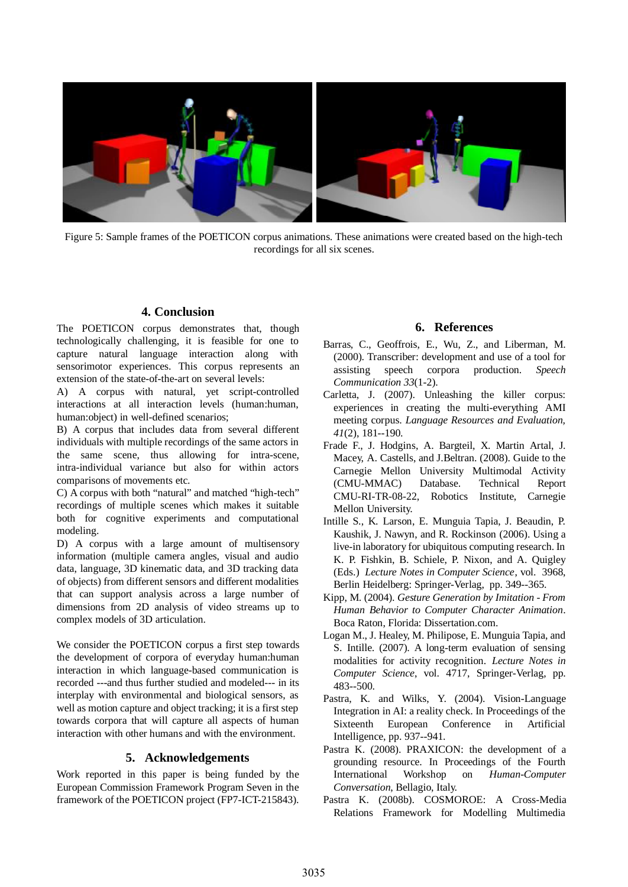

Figure 5: Sample frames of the POETICON corpus animations. These animations were created based on the high-tech recordings for all six scenes.

### **4. Conclusion**

The POETICON corpus demonstrates that, though technologically challenging, it is feasible for one to capture natural language interaction along with sensorimotor experiences. This corpus represents an extension of the state-of-the-art on several levels:

A) A corpus with natural, yet script-controlled interactions at all interaction levels (human:human, human:object) in well-defined scenarios;

B) A corpus that includes data from several different individuals with multiple recordings of the same actors in the same scene, thus allowing for intra-scene, intra-individual variance but also for within actors comparisons of movements etc.

C) A corpus with both "natural" and matched "high-tech" recordings of multiple scenes which makes it suitable both for cognitive experiments and computational modeling.

D) A corpus with a large amount of multisensory information (multiple camera angles, visual and audio data, language, 3D kinematic data, and 3D tracking data of objects) from different sensors and different modalities that can support analysis across a large number of dimensions from 2D analysis of video streams up to complex models of 3D articulation.

We consider the POETICON corpus a first step towards the development of corpora of everyday human:human interaction in which language-based communication is recorded ---and thus further studied and modeled--- in its interplay with environmental and biological sensors, as well as motion capture and object tracking; it is a first step towards corpora that will capture all aspects of human interaction with other humans and with the environment.

#### **5. Acknowledgements**

Work reported in this paper is being funded by the European Commission Framework Program Seven in the framework of the POETICON project (FP7-ICT-215843).

### **6. References**

- Barras, C., Geoffrois, E., Wu, Z., and Liberman, M. (2000). Transcriber: development and use of a tool for assisting speech corpora production. *Speech Communication 33*(1-2).
- Carletta, J. (2007). Unleashing the killer corpus: experiences in creating the multi-everything AMI meeting corpus. *Language Resources and Evaluation, 41*(2), 181--190.
- Frade F., J. Hodgins, A. Bargteil, X. Martin Artal, J. Macey, A. Castells, and J.Beltran. (2008). Guide to the Carnegie Mellon University Multimodal Activity (CMU-MMAC) Database. Technical Report CMU-RI-TR-08-22, Robotics Institute, Carnegie Mellon University.
- Intille S., K. Larson, E. Munguia Tapia, J. Beaudin, P. Kaushik, J. Nawyn, and R. Rockinson (2006). Using a live-in laboratory for ubiquitous computing research. In K. P. Fishkin, B. Schiele, P. Nixon, and A. Quigley (Eds.) *Lecture Notes in Computer Science*, vol. 3968, Berlin Heidelberg: Springer-Verlag, pp. 349--365.
- Kipp, M. (2004). *Gesture Generation by Imitation From Human Behavior to Computer Character Animation*. Boca Raton, Florida: Dissertation.com.
- Logan M., J. Healey, M. Philipose, E. Munguia Tapia, and S. Intille. (2007). A long-term evaluation of sensing modalities for activity recognition. *Lecture Notes in Computer Science*, vol. 4717, Springer-Verlag, pp. 483--500.
- Pastra, K. and Wilks, Y. (2004). Vision-Language Integration in AI: a reality check. In Proceedings of the Sixteenth European Conference in Artificial Intelligence, pp. 937--941.
- Pastra K. (2008). PRAXICON: the development of a grounding resource. In Proceedings of the Fourth International Workshop on *Human-Computer Conversation*, Bellagio, Italy.
- Pastra K. (2008b). COSMOROE: A Cross-Media Relations Framework for Modelling Multimedia